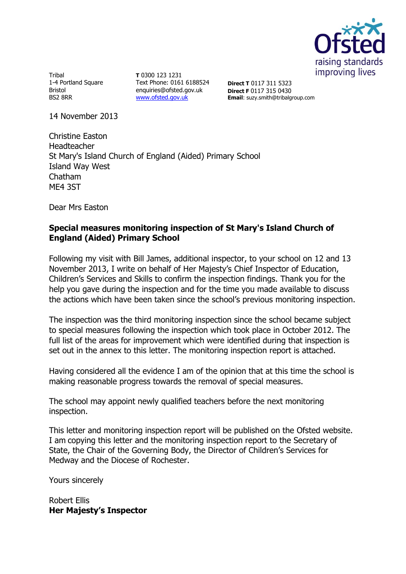

Tribal 1-4 Portland Square **Bristol** BS2 8RR

**T** 0300 123 1231 Text Phone: 0161 6188524 enquiries@ofsted.gov.uk [www.ofsted.gov.uk](http://www.ofsted.gov.uk/)

**Direct T** 0117 311 5323 **Direct F** 0117 315 0430 **Email**: suzy.smith@tribalgroup.com

14 November 2013

Christine Easton Headteacher St Mary's Island Church of England (Aided) Primary School Island Way West Chatham ME4 3ST

Dear Mrs Easton

#### **Special measures monitoring inspection of St Mary's Island Church of England (Aided) Primary School**

Following my visit with Bill James, additional inspector, to your school on 12 and 13 November 2013, I write on behalf of Her Majesty's Chief Inspector of Education, Children's Services and Skills to confirm the inspection findings. Thank you for the help you gave during the inspection and for the time you made available to discuss the actions which have been taken since the school's previous monitoring inspection.

The inspection was the third monitoring inspection since the school became subject to special measures following the inspection which took place in October 2012. The full list of the areas for improvement which were identified during that inspection is set out in the annex to this letter. The monitoring inspection report is attached.

Having considered all the evidence I am of the opinion that at this time the school is making reasonable progress towards the removal of special measures.

The school may appoint newly qualified teachers before the next monitoring inspection.

This letter and monitoring inspection report will be published on the Ofsted website. I am copying this letter and the monitoring inspection report to the Secretary of State, the Chair of the Governing Body, the Director of Children's Services for Medway and the Diocese of Rochester.

Yours sincerely

Robert Ellis **Her Majesty's Inspector**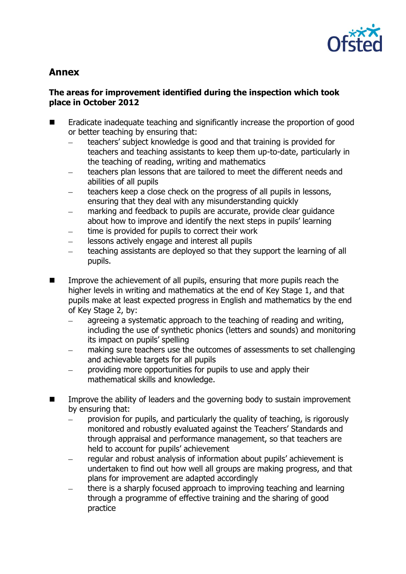

# **Annex**

## **The areas for improvement identified during the inspection which took place in October 2012**

- Eradicate inadequate teaching and significantly increase the proportion of good or better teaching by ensuring that:
	- teachers' subject knowledge is good and that training is provided for teachers and teaching assistants to keep them up-to-date, particularly in the teaching of reading, writing and mathematics
	- teachers plan lessons that are tailored to meet the different needs and abilities of all pupils
	- teachers keep a close check on the progress of all pupils in lessons, ensuring that they deal with any misunderstanding quickly
	- marking and feedback to pupils are accurate, provide clear guidance about how to improve and identify the next steps in pupils' learning
	- time is provided for pupils to correct their work
	- lessons actively engage and interest all pupils
	- teaching assistants are deployed so that they support the learning of all pupils.
- **IMPROVE THE ACHIEVEMENT OF ALL PUPILS, ENSURIES META THE MOVE THAT IS EXAMPLE THE INCOCOLLET THE ISL** higher levels in writing and mathematics at the end of Key Stage 1, and that pupils make at least expected progress in English and mathematics by the end of Key Stage 2, by:
	- agreeing a systematic approach to the teaching of reading and writing, including the use of synthetic phonics (letters and sounds) and monitoring its impact on pupils' spelling
	- making sure teachers use the outcomes of assessments to set challenging and achievable targets for all pupils
	- providing more opportunities for pupils to use and apply their  $\frac{1}{2}$ mathematical skills and knowledge.
- Improve the ability of leaders and the governing body to sustain improvement by ensuring that:
	- provision for pupils, and particularly the quality of teaching, is rigorously monitored and robustly evaluated against the Teachers' Standards and through appraisal and performance management, so that teachers are held to account for pupils' achievement
	- regular and robust analysis of information about pupils' achievement is undertaken to find out how well all groups are making progress, and that plans for improvement are adapted accordingly
	- there is a sharply focused approach to improving teaching and learning through a programme of effective training and the sharing of good practice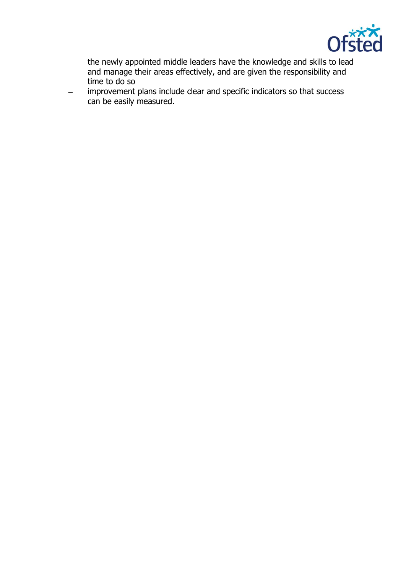

- the newly appointed middle leaders have the knowledge and skills to lead  $\equiv$ and manage their areas effectively, and are given the responsibility and time to do so
- improvement plans include clear and specific indicators so that success  $\overline{\phantom{m}}$ can be easily measured.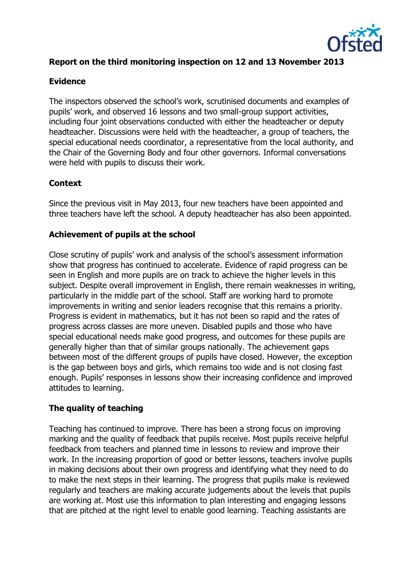

# **Report on the third monitoring inspection on 12 and 13 November 2013**

#### **Evidence**

The inspectors observed the school's work, scrutinised documents and examples of pupils' work, and observed 16 lessons and two small-group support activities, including four joint observations conducted with either the headteacher or deputy headteacher. Discussions were held with the headteacher, a group of teachers, the special educational needs coordinator, a representative from the local authority, and the Chair of the Governing Body and four other governors. Informal conversations were held with pupils to discuss their work.

## **Context**

Since the previous visit in May 2013, four new teachers have been appointed and three teachers have left the school. A deputy headteacher has also been appointed.

## **Achievement of pupils at the school**

Close scrutiny of pupils' work and analysis of the school's assessment information show that progress has continued to accelerate. Evidence of rapid progress can be seen in English and more pupils are on track to achieve the higher levels in this subject. Despite overall improvement in English, there remain weaknesses in writing, particularly in the middle part of the school. Staff are working hard to promote improvements in writing and senior leaders recognise that this remains a priority. Progress is evident in mathematics, but it has not been so rapid and the rates of progress across classes are more uneven. Disabled pupils and those who have special educational needs make good progress, and outcomes for these pupils are generally higher than that of similar groups nationally. The achievement gaps between most of the different groups of pupils have closed. However, the exception is the gap between boys and girls, which remains too wide and is not closing fast enough. Pupils' responses in lessons show their increasing confidence and improved attitudes to learning.

#### **The quality of teaching**

Teaching has continued to improve. There has been a strong focus on improving marking and the quality of feedback that pupils receive. Most pupils receive helpful feedback from teachers and planned time in lessons to review and improve their work. In the increasing proportion of good or better lessons, teachers involve pupils in making decisions about their own progress and identifying what they need to do to make the next steps in their learning. The progress that pupils make is reviewed regularly and teachers are making accurate judgements about the levels that pupils are working at. Most use this information to plan interesting and engaging lessons that are pitched at the right level to enable good learning. Teaching assistants are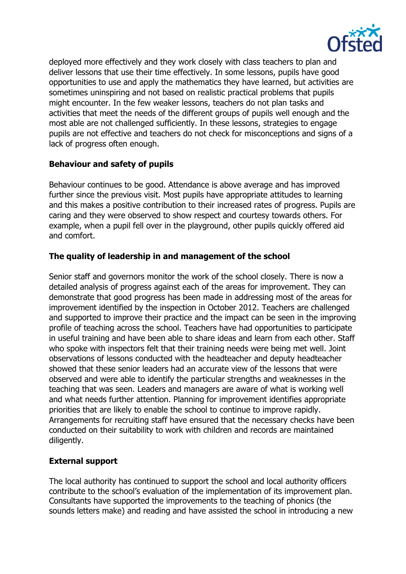

deployed more effectively and they work closely with class teachers to plan and deliver lessons that use their time effectively. In some lessons, pupils have good opportunities to use and apply the mathematics they have learned, but activities are sometimes uninspiring and not based on realistic practical problems that pupils might encounter. In the few weaker lessons, teachers do not plan tasks and activities that meet the needs of the different groups of pupils well enough and the most able are not challenged sufficiently. In these lessons, strategies to engage pupils are not effective and teachers do not check for misconceptions and signs of a lack of progress often enough.

# **Behaviour and safety of pupils**

Behaviour continues to be good. Attendance is above average and has improved further since the previous visit. Most pupils have appropriate attitudes to learning and this makes a positive contribution to their increased rates of progress. Pupils are caring and they were observed to show respect and courtesy towards others. For example, when a pupil fell over in the playground, other pupils quickly offered aid and comfort.

## **The quality of leadership in and management of the school**

Senior staff and governors monitor the work of the school closely. There is now a detailed analysis of progress against each of the areas for improvement. They can demonstrate that good progress has been made in addressing most of the areas for improvement identified by the inspection in October 2012. Teachers are challenged and supported to improve their practice and the impact can be seen in the improving profile of teaching across the school. Teachers have had opportunities to participate in useful training and have been able to share ideas and learn from each other. Staff who spoke with inspectors felt that their training needs were being met well. Joint observations of lessons conducted with the headteacher and deputy headteacher showed that these senior leaders had an accurate view of the lessons that were observed and were able to identify the particular strengths and weaknesses in the teaching that was seen. Leaders and managers are aware of what is working well and what needs further attention. Planning for improvement identifies appropriate priorities that are likely to enable the school to continue to improve rapidly. Arrangements for recruiting staff have ensured that the necessary checks have been conducted on their suitability to work with children and records are maintained diligently.

# **External support**

The local authority has continued to support the school and local authority officers contribute to the school's evaluation of the implementation of its improvement plan. Consultants have supported the improvements to the teaching of phonics (the sounds letters make) and reading and have assisted the school in introducing a new